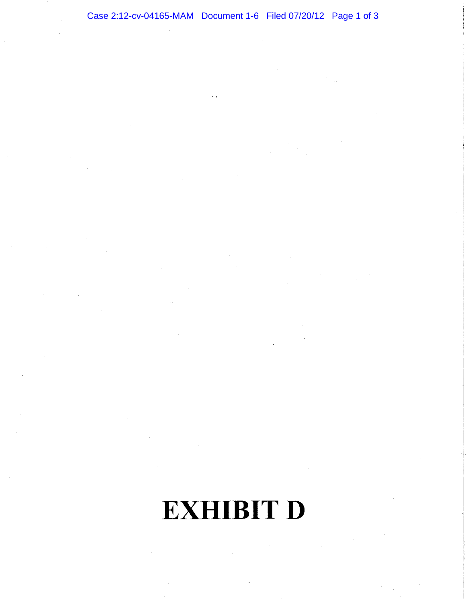## Case 2:12-cv-04165-MAM Document 1-6 Filed 07/20/12 Page 1 of 3

**EXHIBIT D**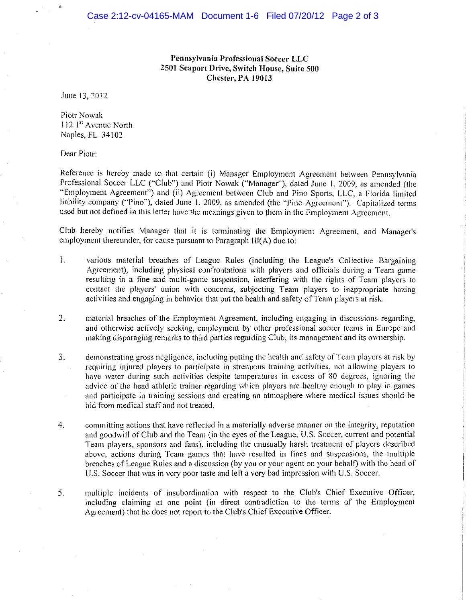**Pennsylvania Professional Soccer LLC 2501 Seaport Drive, Switch House, Suite 500 Chester, PA 19013** 

June 13,2012

Piotr Nowak 112 1<sup>st</sup> Avenue North Naples, FL 34102

Dear Piotr:

Reference is hereby made to that certain (i) Manager Employment Agreement between Pennsylvania Professional Soccer LLC ("Club") and Piotr Nowak ("Manager"), dated June 1, 2009, as amended (the "Employment Agreement") and (ii) Agreement between Club and Pino Sports, LLC, a Florida limited liability company ("Pino"), dated June 1, 2009, as amended (the "Pino Agreement"). Capitalized terms used but not defined in this letter have the meanings given to them in the Employment Agreement.

Club hereby notifies Manager that it is terminating the Employment Agrecment, and Manager's employment thereunder, for cause pursuant to Paragraph !II(A) due to:

- 1. various material breaches of Leaguc Rules (including the League's Collective Bargaining Agreement), including physical confrontations with players and officials during a Team game resulting in a fine and multi-game suspension, interfering with the rights of Team players to contact the players' union with concerns, subjecting Team players to inappropriate hazing activities and engaging in behavior that put the health and safety of Team players at risk.
- 2. material brcaches of the Employment Agreement, including engaging in discussions regarding, and otherwise actively seeking, employment by other professional socccr teams in Europe and making disparaging remarks to third parties regarding Club, its management and its owncrship.
- 3. demonstrating gross negligence, including putting the health and safety of Team players at risk by requiring injured players to participate in strenuous training activities, not allowing players to **have water during such activities despite temperatures in excess of 80 degrees, ignoring the**  advice of the head athletic trainer regarding which players are healthy enough to play in games and participate in training sessions and creating an atmosphere where medical issues should be hid from medical staff and not treated.
- 4. committing actions that have reflected in a materially adverse manner on the integrity, reputation and goodwill of Club and the Team (in the eyes of the League, U.S. Soccer, current and potential Team players, sponsors and fans), including the unusually harsh treatment of players described above, actions during Team games that have resulted in fines and suspensions, the multiple breaches of League Rules and a discussion (by you or your agent on your behalf) with the head of U.S. Soccer that was in very poor taste and leti a very bad impression with U.S. Soccer.
- 5. multiple incidents of insubordination with respect to the Club's Chief Executive Officer, including claiming at one point (in direct contradiction to the terms of the Employment Agreement) that he does not report to the Club's Chief Executive Officer.